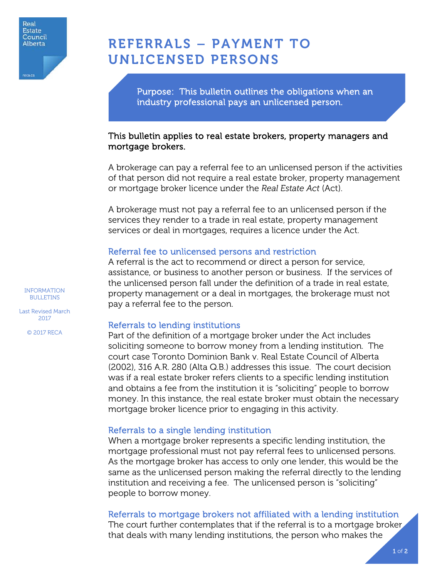

# REFERRALS – PAYMENT TO UNLICENSED PERSONS

Purpose: This bulletin outlines the obligations when an industry professional pays an unlicensed person.

## This bulletin applies to real estate brokers, property managers and mortgage brokers.

A brokerage can pay a referral fee to an unlicensed person if the activities of that person did not require a real estate broker, property management or mortgage broker licence under the *Real Estate Act* (Act).

A brokerage must not pay a referral fee to an unlicensed person if the services they render to a trade in real estate, property management services or deal in mortgages, requires a licence under the Act.

## Referral fee to unlicensed persons and restriction

A referral is the act to recommend or direct a person for service, assistance, or business to another person or business. If the services of the unlicensed person fall under the definition of a trade in real estate, property management or a deal in mortgages, the brokerage must not pay a referral fee to the person.

# Referrals to lending institutions

Part of the definition of a mortgage broker under the Act includes soliciting someone to borrow money from a lending institution. The court case Toronto Dominion Bank v. Real Estate Council of Alberta (2002), 316 A.R. 280 (Alta Q.B.) addresses this issue. The court decision was if a real estate broker refers clients to a specific lending institution and obtains a fee from the institution it is "soliciting" people to borrow money. In this instance, the real estate broker must obtain the necessary mortgage broker licence prior to engaging in this activity.

# Referrals to a single lending institution

When a mortgage broker represents a specific lending institution, the mortgage professional must not pay referral fees to unlicensed persons. As the mortgage broker has access to only one lender, this would be the same as the unlicensed person making the referral directly to the lending institution and receiving a fee. The unlicensed person is "soliciting" people to borrow money.

Referrals to mortgage brokers not affiliated with a lending institution

The court further contemplates that if the referral is to a mortgage broker that deals with many lending institutions, the person who makes the

INFORMATION BULLETINS

Last Revised March 2017

© 2017 RECA